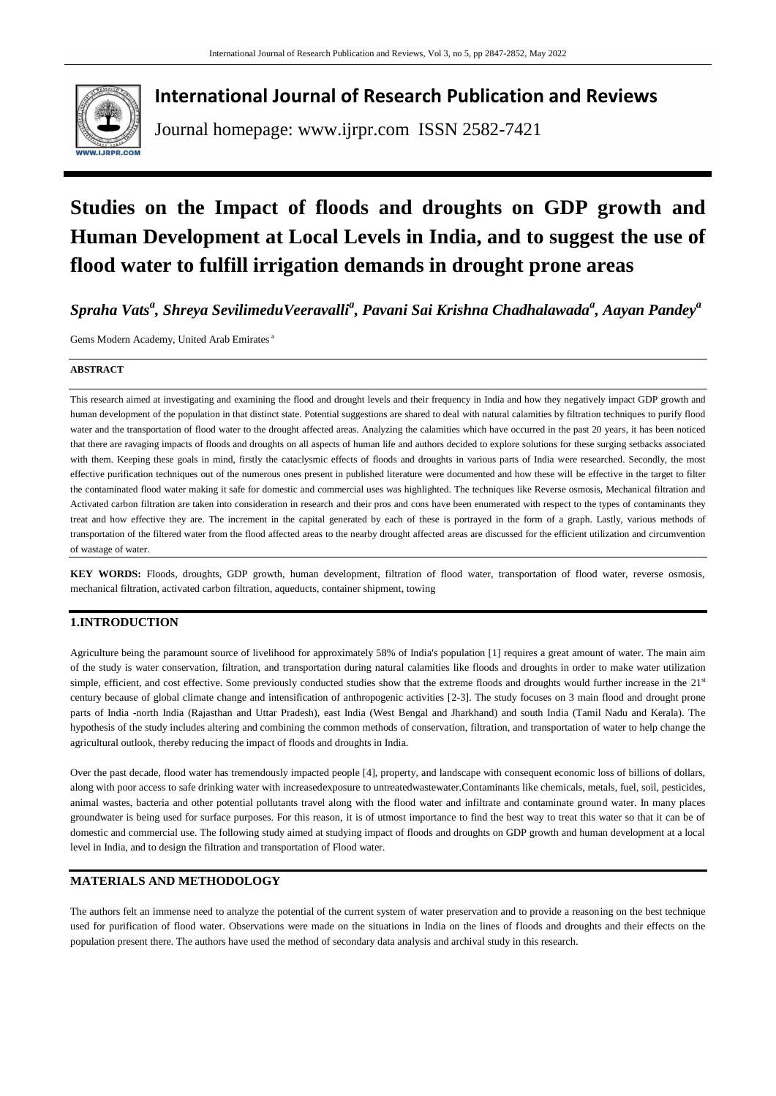

## **International Journal of Research Publication and Reviews**

Journal homepage: www.ijrpr.com ISSN 2582-7421

# **Studies on the Impact of floods and droughts on GDP growth and Human Development at Local Levels in India, and to suggest the use of flood water to fulfill irrigation demands in drought prone areas**

*Spraha Vats<sup>a</sup> , Shreya SevilimeduVeeravalli<sup>a</sup> , Pavani Sai Krishna Chadhalawada<sup>a</sup> , Aayan Pandey<sup>a</sup>*

Gems Modern Academy, United Arab Emirates <sup>a</sup>

#### **ABSTRACT**

This research aimed at investigating and examining the flood and drought levels and their frequency in India and how they negatively impact GDP growth and human development of the population in that distinct state. Potential suggestions are shared to deal with natural calamities by filtration techniques to purify flood water and the transportation of flood water to the drought affected areas. Analyzing the calamities which have occurred in the past 20 years, it has been noticed that there are ravaging impacts of floods and droughts on all aspects of human life and authors decided to explore solutions for these surging setbacks associated with them. Keeping these goals in mind, firstly the cataclysmic effects of floods and droughts in various parts of India were researched. Secondly, the most effective purification techniques out of the numerous ones present in published literature were documented and how these will be effective in the target to filter the contaminated flood water making it safe for domestic and commercial uses was highlighted. The techniques like Reverse osmosis, Mechanical filtration and Activated carbon filtration are taken into consideration in research and their pros and cons have been enumerated with respect to the types of contaminants they treat and how effective they are. The increment in the capital generated by each of these is portrayed in the form of a graph. Lastly, various methods of transportation of the filtered water from the flood affected areas to the nearby drought affected areas are discussed for the efficient utilization and circumvention of wastage of water.

**KEY WORDS:** Floods, droughts, GDP growth, human development, filtration of flood water, transportation of flood water, reverse osmosis, mechanical filtration, activated carbon filtration, aqueducts, container shipment, towing

## **1.INTRODUCTION**

Agriculture being the paramount source of livelihood for approximately 58% of India's population [\[1\]](#page-5-0) requires a great amount of water. The main aim of the study is water conservation, filtration, and transportation during natural calamities like floods and droughts in order to make water utilization simple, efficient, and cost effective. Some previously conducted studies show that the extreme floods and droughts would further increase in the 21<sup>st</sup> century because of global climate change and intensification of anthropogenic activities [\[2-](#page-5-1)[3\]](#page-5-2). The study focuses on 3 main flood and drought prone parts of India -north India (Rajasthan and Uttar Pradesh), east India (West Bengal and Jharkhand) and south India (Tamil Nadu and Kerala). The hypothesis of the study includes altering and combining the common methods of conservation, filtration, and transportation of water to help change the agricultural outlook, thereby reducing the impact of floods and droughts in India.

Over the past decade, flood water has tremendously impacted people [\[4\]](#page-5-3), property, and landscape with consequent economic loss of billions of dollars, along with poor access to safe drinking water with increasedexposure to untreatedwastewater.Contaminants like chemicals, metals, fuel, soil, pesticides, animal wastes, bacteria and other potential pollutants travel along with the flood water and infiltrate and contaminate ground water. In many places groundwater is being used for surface purposes. For this reason, it is of utmost importance to find the best way to treat this water so that it can be of domestic and commercial use. The following study aimed at studying impact of floods and droughts on GDP growth and human development at a local level in India, and to design the filtration and transportation of Flood water.

## **MATERIALS AND METHODOLOGY**

The authors felt an immense need to analyze the potential of the current system of water preservation and to provide a reasoning on the best technique used for purification of flood water. Observations were made on the situations in India on the lines of floods and droughts and their effects on the population present there. The authors have used the method of secondary data analysis and archival study in this research.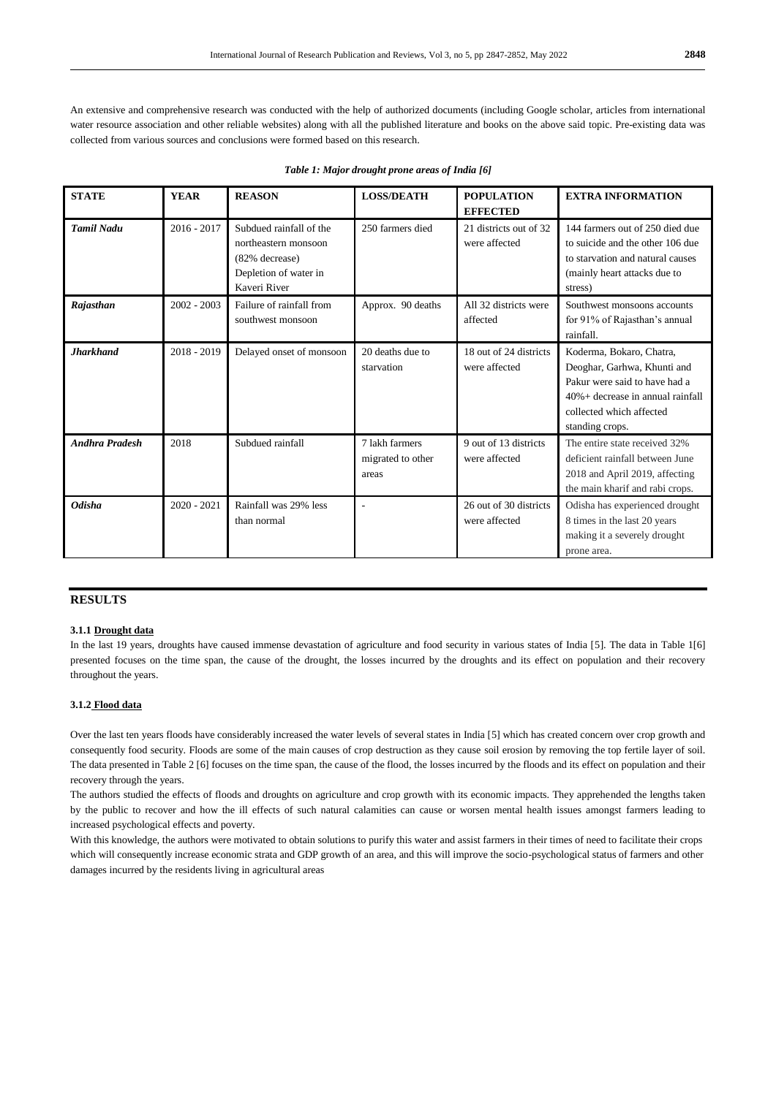An extensive and comprehensive research was conducted with the help of authorized documents (including Google scholar, articles from international water resource association and other reliable websites) along with all the published literature and books on the above said topic. Pre-existing data was collected from various sources and conclusions were formed based on this research.

| <b>STATE</b>          | <b>YEAR</b>   | <b>REASON</b>                                                                                              | <b>LOSS/DEATH</b>                            | <b>POPULATION</b><br><b>EFFECTED</b>    | <b>EXTRA INFORMATION</b>                                                                                                                                                       |
|-----------------------|---------------|------------------------------------------------------------------------------------------------------------|----------------------------------------------|-----------------------------------------|--------------------------------------------------------------------------------------------------------------------------------------------------------------------------------|
| <b>Tamil Nadu</b>     | $2016 - 2017$ | Subdued rainfall of the<br>northeastern monsoon<br>(82% decrease)<br>Depletion of water in<br>Kaveri River | 250 farmers died                             | 21 districts out of 32<br>were affected | 144 farmers out of 250 died due<br>to suicide and the other 106 due<br>to starvation and natural causes<br>(mainly heart attacks due to<br>stress)                             |
| Rajasthan             | $2002 - 2003$ | Failure of rainfall from<br>southwest monsoon                                                              | Approx. 90 deaths                            | All 32 districts were<br>affected       | Southwest monsoons accounts<br>for 91% of Rajasthan's annual<br>rainfall.                                                                                                      |
| <b>Jharkhand</b>      | $2018 - 2019$ | Delayed onset of monsoon                                                                                   | 20 deaths due to<br>starvation               | 18 out of 24 districts<br>were affected | Koderma, Bokaro, Chatra,<br>Deoghar, Garhwa, Khunti and<br>Pakur were said to have had a<br>$40% +$ decrease in annual rainfall<br>collected which affected<br>standing crops. |
| <b>Andhra Pradesh</b> | 2018          | Subdued rainfall                                                                                           | 7 lakh farmers<br>migrated to other<br>areas | 9 out of 13 districts<br>were affected  | The entire state received 32%<br>deficient rainfall between June<br>2018 and April 2019, affecting<br>the main kharif and rabi crops.                                          |
| <b>Odisha</b>         | $2020 - 2021$ | Rainfall was 29% less<br>than normal                                                                       |                                              | 26 out of 30 districts<br>were affected | Odisha has experienced drought<br>8 times in the last 20 years<br>making it a severely drought<br>prone area.                                                                  |

| Table 1: Major drought prone areas of India [6] |  |  |
|-------------------------------------------------|--|--|
|-------------------------------------------------|--|--|

## **RESULTS**

#### **3.1.1 Drought data**

In the last 19 years, droughts have caused immense devastation of agriculture and food security in various states of India [\[5\]](#page-5-5). The data in Table [1\[6\]](#page-5-4) presented focuses on the time span, the cause of the drought, the losses incurred by the droughts and its effect on population and their recovery throughout the years.

#### **3.1.2 Flood data**

Over the last ten years floods have considerably increased the water levels of several states in India [\[5\]](#page-5-5) which has created concern over crop growth and consequently food security. Floods are some of the main causes of crop destruction as they cause soil erosion by removing the top fertile layer of soil. The data presented in Table 2 [\[6\]](#page-5-4) focuses on the time span, the cause of the flood, the losses incurred by the floods and its effect on population and their recovery through the years.

The authors studied the effects of floods and droughts on agriculture and crop growth with its economic impacts. They apprehended the lengths taken by the public to recover and how the ill effects of such natural calamities can cause or worsen mental health issues amongst farmers leading to increased psychological effects and poverty.

With this knowledge, the authors were motivated to obtain solutions to purify this water and assist farmers in their times of need to facilitate their crops which will consequently increase economic strata and GDP growth of an area, and this will improve the socio-psychological status of farmers and other damages incurred by the residents living in agricultural areas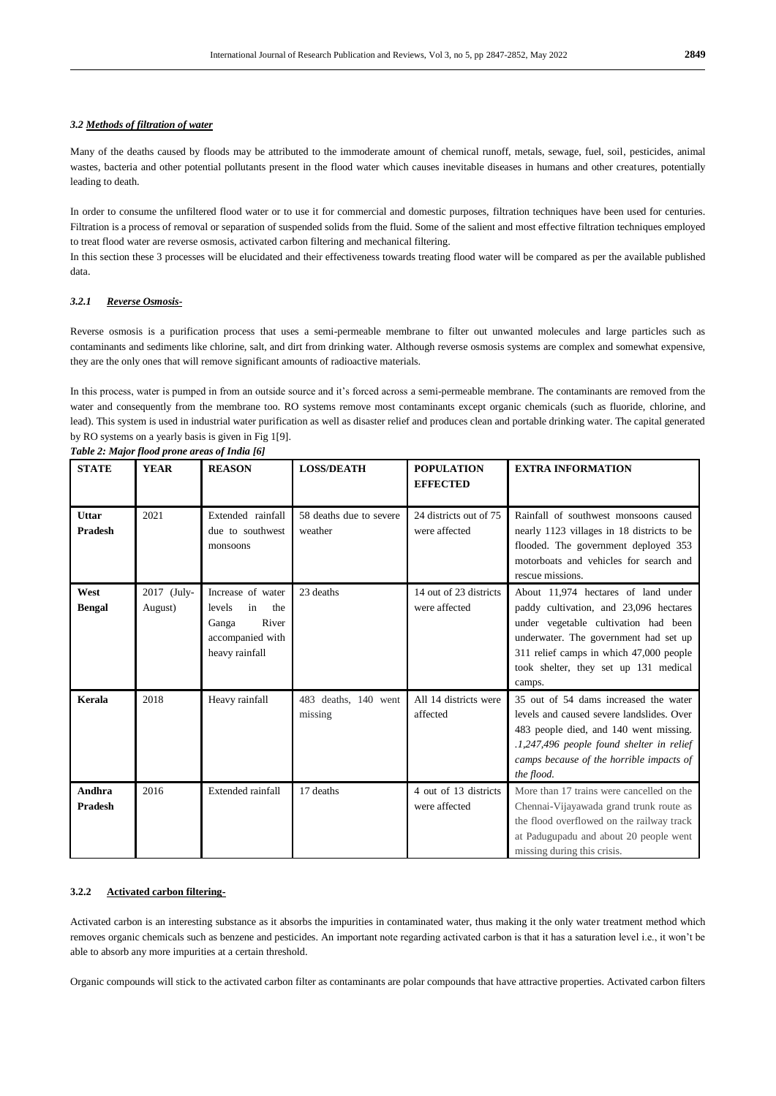### *3.2 Methods of filtration of water*

Many of the deaths caused by floods may be attributed to the immoderate amount of chemical runoff, metals, sewage, fuel, soil, pesticides, animal wastes, bacteria and other potential pollutants present in the flood water which causes inevitable diseases in humans and other creatures, potentially leading to death.

In order to consume the unfiltered flood water or to use it for commercial and domestic purposes, filtration techniques have been used for centuries. Filtration is a process of removal or separation of suspended solids from the fluid. Some of the salient and most effective filtration techniques employed to treat flood water are reverse osmosis, activated carbon filtering and mechanical filtering.

In this section these 3 processes will be elucidated and their effectiveness towards treating flood water will be compared as per the available published data.

#### *3.2.1 Reverse Osmosis-*

Reverse osmosis is a purification process that uses a semi-permeable membrane to filter out unwanted molecules and large particles such as contaminants and sediments like chlorine, salt, and dirt from drinking water. Although reverse osmosis systems are complex and somewhat expensive, they are the only ones that will remove significant amounts of radioactive materials.

In this process, water is pumped in from an outside source and it's forced across a semi-permeable membrane. The contaminants are removed from the water and consequently from the membrane too. RO systems remove most contaminants except organic chemicals (such as fluoride, chlorine, and lead). This system is used in industrial water purification as well as disaster relief and produces clean and portable drinking water. The capital generated by RO systems on a yearly basis is given in Fig 1[\[9\]](#page-5-6).

| <b>STATE</b>             | <b>YEAR</b>            | <b>REASON</b>                                                                                    | <b>LOSS/DEATH</b>                  | <b>POPULATION</b><br><b>EFFECTED</b>    | <b>EXTRA INFORMATION</b>                                                                                                                                                                                                                                     |
|--------------------------|------------------------|--------------------------------------------------------------------------------------------------|------------------------------------|-----------------------------------------|--------------------------------------------------------------------------------------------------------------------------------------------------------------------------------------------------------------------------------------------------------------|
| Uttar<br><b>Pradesh</b>  | 2021                   | Extended rainfall<br>due to southwest<br>monsoons                                                | 58 deaths due to severe<br>weather | 24 districts out of 75<br>were affected | Rainfall of southwest monsoons caused<br>nearly 1123 villages in 18 districts to be<br>flooded. The government deployed 353<br>motorboats and vehicles for search and<br>rescue missions.                                                                    |
| West<br><b>Bengal</b>    | 2017 (July-<br>August) | Increase of water<br>levels<br>in<br>the<br>River<br>Ganga<br>accompanied with<br>heavy rainfall | 23 deaths                          | 14 out of 23 districts<br>were affected | About 11,974 hectares of land under<br>paddy cultivation, and 23,096 hectares<br>under vegetable cultivation had been<br>underwater. The government had set up<br>311 relief camps in which 47,000 people<br>took shelter, they set up 131 medical<br>camps. |
| Kerala                   | 2018                   | Heavy rainfall                                                                                   | 483 deaths, 140 went<br>missing    | All 14 districts were<br>affected       | 35 out of 54 dams increased the water<br>levels and caused severe landslides. Over<br>483 people died, and 140 went missing.<br>.1,247,496 people found shelter in relief<br>camps because of the horrible impacts of<br>the flood.                          |
| Andhra<br><b>Pradesh</b> | 2016                   | Extended rainfall                                                                                | 17 deaths                          | 4 out of 13 districts<br>were affected  | More than 17 trains were cancelled on the<br>Chennai-Vijayawada grand trunk route as<br>the flood overflowed on the railway track<br>at Padugupadu and about 20 people went<br>missing during this crisis.                                                   |

*Table 2: Major flood prone areas of India [\[6\]](#page-5-4)*

#### **3.2.2 Activated carbon filtering-**

Activated carbon is an interesting substance as it absorbs the impurities in contaminated water, thus making it the only water treatment method which removes organic chemicals such as benzene and pesticides. An important note regarding activated carbon is that it has a saturation level i.e., it won't be able to absorb any more impurities at a certain threshold.

Organic compounds will stick to the activated carbon filter as contaminants are polar compounds that have attractive properties. Activated carbon filters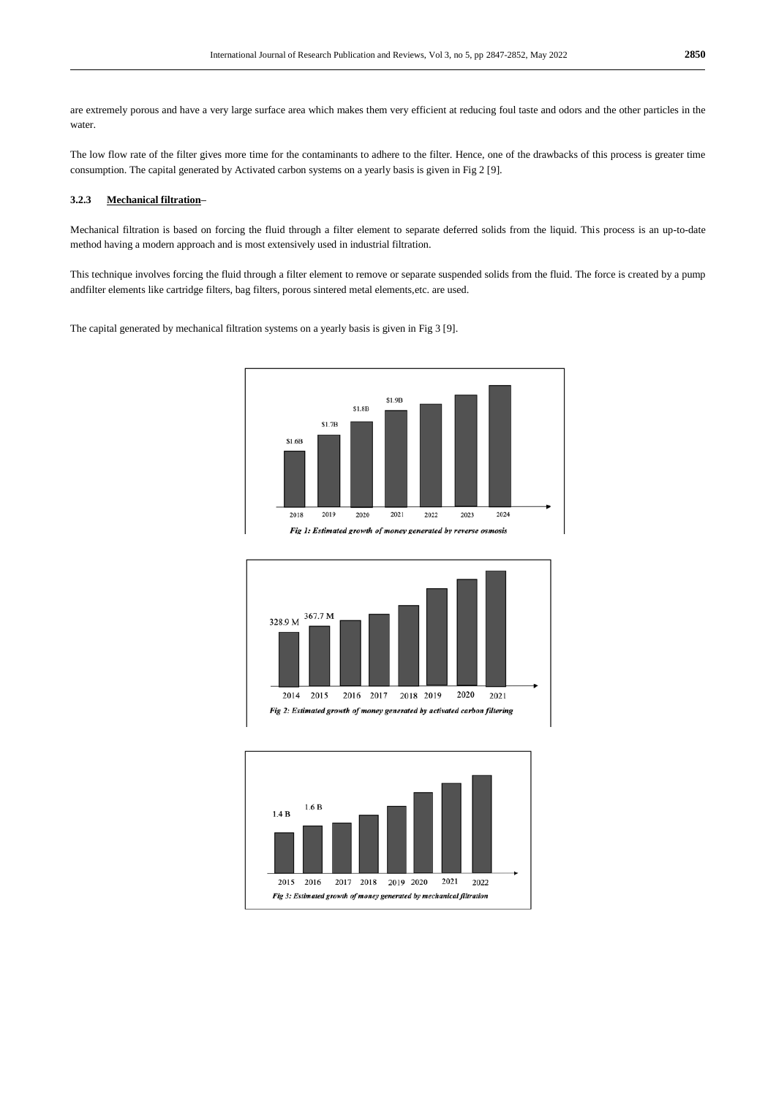are extremely porous and have a very large surface area which makes them very efficient at reducing foul taste and odors and the other particles in the water.

The low flow rate of the filter gives more time for the contaminants to adhere to the filter. Hence, one of the drawbacks of this process is greater time consumption. The capital generated by Activated carbon systems on a yearly basis is given in Fig 2 [\[9\]](#page-5-6).

#### **3.2.3 Mechanical filtration–**

Mechanical filtration is based on forcing the fluid through a filter element to separate deferred solids from the liquid. This process is an up-to-date method having a modern approach and is most extensively used in industrial filtration.

This technique involves forcing the fluid through a filter element to remove or separate suspended solids from the fluid. The force is created by a pump andfilter elements like cartridge filters, bag filters, porous sintered metal elements,etc. are used.

The capital generated by mechanical filtration systems on a yearly basis is given in Fig 3 [\[9\]](#page-5-6).





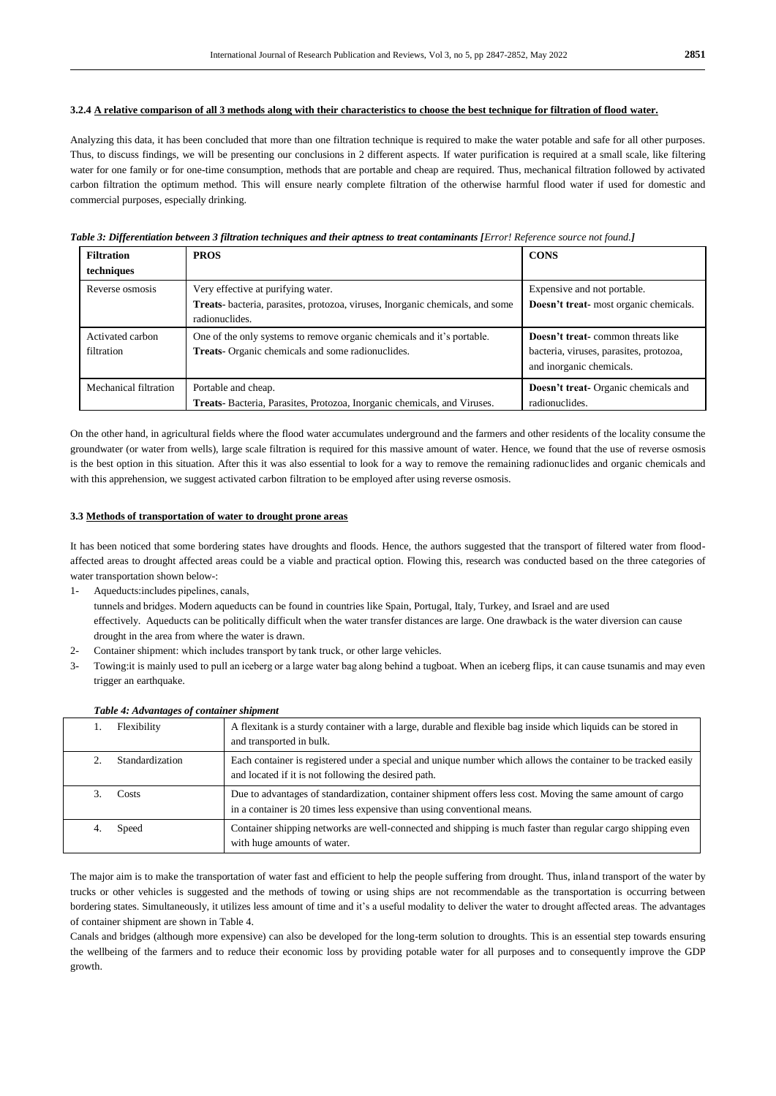#### **3.2.4 A relative comparison of all 3 methods along with their characteristics to choose the best technique for filtration of flood water.**

Analyzing this data, it has been concluded that more than one filtration technique is required to make the water potable and safe for all other purposes. Thus, to discuss findings, we will be presenting our conclusions in 2 different aspects. If water purification is required at a small scale, like filtering water for one family or for one-time consumption, methods that are portable and cheap are required. Thus, mechanical filtration followed by activated carbon filtration the optimum method. This will ensure nearly complete filtration of the otherwise harmful flood water if used for domestic and commercial purposes, especially drinking.

#### *Table 3: Differentiation between 3 filtration techniques and their aptness to treat contaminants [Error! Reference source not found.]*

| <b>Filtration</b>     | <b>PROS</b>                                                                  | <b>CONS</b>                                 |
|-----------------------|------------------------------------------------------------------------------|---------------------------------------------|
| techniques            |                                                                              |                                             |
| Reverse osmosis       | Very effective at purifying water.                                           | Expensive and not portable.                 |
|                       | Treats-bacteria, parasites, protozoa, viruses, Inorganic chemicals, and some | Doesn't treat-most organic chemicals.       |
|                       | radionuclides.                                                               |                                             |
| Activated carbon      | One of the only systems to remove organic chemicals and it's portable.       | <b>Doesn't treat-</b> common threats like   |
| filtration            | <b>Treats-</b> Organic chemicals and some radionuclides.                     | bacteria, viruses, parasites, protozoa,     |
|                       |                                                                              | and inorganic chemicals.                    |
| Mechanical filtration | Portable and cheap.                                                          | <b>Doesn't treat-</b> Organic chemicals and |
|                       | Treats-Bacteria, Parasites, Protozoa, Inorganic chemicals, and Viruses.      | radionuclides.                              |

On the other hand, in agricultural fields where the flood water accumulates underground and the farmers and other residents of the locality consume the groundwater (or water from wells), large scale filtration is required for this massive amount of water. Hence, we found that the use of reverse osmosis is the best option in this situation. After this it was also essential to look for a way to remove the remaining radionuclides and organic chemicals and with this apprehension, we suggest activated carbon filtration to be employed after using reverse osmosis.

#### **3.3 Methods of transportation of water to drought prone areas**

It has been noticed that some bordering states have droughts and floods. Hence, the authors suggested that the transport of filtered water from floodaffected areas to drought affected areas could be a viable and practical option. Flowing this, research was conducted based on the three categories of water transportation shown below-:

- 1- Aqueducts:includes pipelines, canals,  tunnels and bridges. Modern aqueducts can be found in countries like Spain, Portugal, Italy, Turkey, and Israel and are used effectively. Aqueducts can be politically difficult when the water transfer distances are large. One drawback is the water diversion can cause drought in the area from where the water is drawn.
- 2- Container shipment: which includes transport by tank truck, or other large vehicles.
- 3- Towing:it is mainly used to pull an iceberg or a large water bag along behind a tugboat. When an iceberg flips, it can cause tsunamis and may even trigger an earthquake.

| Flexibility     | A flexitank is a sturdy container with a large, durable and flexible bag inside which liquids can be stored in<br>and transported in bulk.                                             |
|-----------------|----------------------------------------------------------------------------------------------------------------------------------------------------------------------------------------|
| Standardization | Each container is registered under a special and unique number which allows the container to be tracked easily<br>and located if it is not following the desired path.                 |
| Costs           | Due to advantages of standardization, container shipment offers less cost. Moving the same amount of cargo<br>in a container is 20 times less expensive than using conventional means. |
| Speed           | Container shipping networks are well-connected and shipping is much faster than regular cargo shipping even<br>with huge amounts of water.                                             |

#### *Table 4: Advantages of container shipment*

The major aim is to make the transportation of water fast and efficient to help the people suffering from drought. Thus, inland transport of the water by trucks or other vehicles is suggested and the methods of towing or using ships are not recommendable as the transportation is occurring between bordering states. Simultaneously, it utilizes less amount of time and it's a useful modality to deliver the water to drought affected areas. The advantages of container shipment are shown in Table 4.

Canals and bridges (although more expensive) can also be developed for the long-term solution to droughts. This is an essential step towards ensuring the wellbeing of the farmers and to reduce their economic loss by providing potable water for all purposes and to consequently improve the GDP growth.